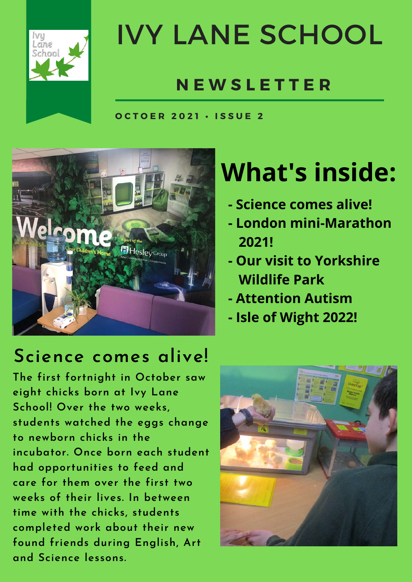

## IVY LANE SCHOOL

#### **N E W S L E T T E R**

**O C T O E R 2 0 2 1 • I S S U E 2**



### **What's inside:**

- **Science comes alive!**
- **London mini-Marathon 2021!**
- **Our visit to Yorkshire Wildlife Park**
- **Attention Autism**
- **Isle of Wight 2022!**

#### **Science comes alive!**

**The first fortnight in October saw eight chicks born at Ivy Lane School! Over the two weeks, students watched the eggs change to newborn chicks in the incubator. Once born each student had opportunities to feed and care for them over the first two weeks of their lives. In between time with the chicks, students completed work about their new found friends during English, Art and Science lessons.**

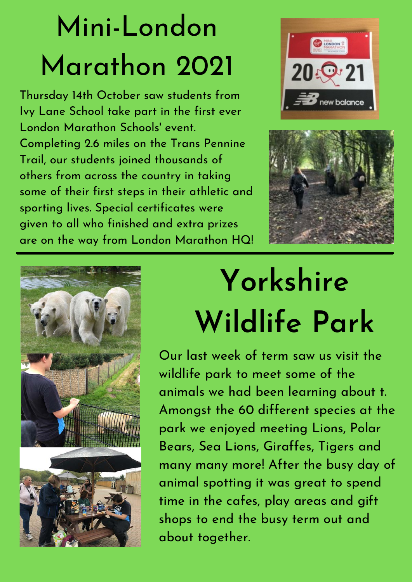## Mini-London Marathon 2021

Thursday 14th October saw students from Ivy Lane School take part in the first ever London Marathon Schools' event. Completing 2.6 miles on the Trans Pennine Trail, our students joined thousands of others from across the country in taking some of their first steps in their athletic and sporting lives. Special certificates were given to all who finished and extra prizes are on the way from London Marathon HQ!







## **Yorkshire Wildlife Park**

Our last week of term saw us visit the wildlife park to meet some of the animals we had been learning about t. Amongst the 60 different species at the park we enjoyed meeting Lions, Polar Bears, Sea Lions, Giraffes, Tigers and many many more! After the busy day of animal spotting it was great to spend time in the cafes, play areas and gift shops to end the busy term out and about together.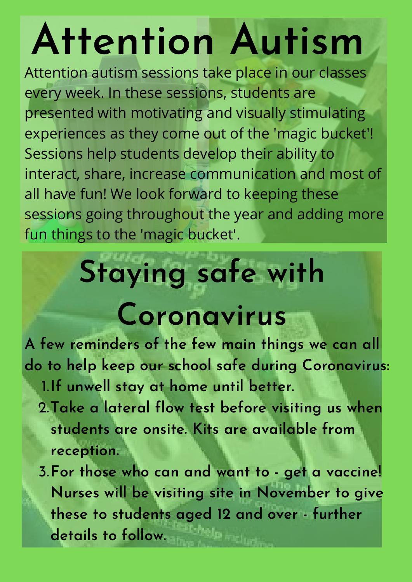# **Attention Autism**

Attention autism sessions take place in our classes every week. In these sessions, students are presented with motivating and visually stimulating experiences as they come out of the 'magic bucket'! Sessions help students develop their ability to interact, share, increase communication and most of all have fun! We look forward to keeping these sessions going throughout the year and adding more fun things to the 'magic bucket'.

## **Staying safe with**

## **Coronavirus**

**A few reminders of the few main things we can all do to help keep our school safe during Coronavirus:**

- **If unwell stay at home until better.** 1.
- **Take a lateral flow test before visiting us when** 2. **students are onsite. Kits are available from reception.**
- **For those who can and want to get a vaccine!** 3.**Nurses will be visiting site in November to give these to students aged 12 and over - further details to follow.**